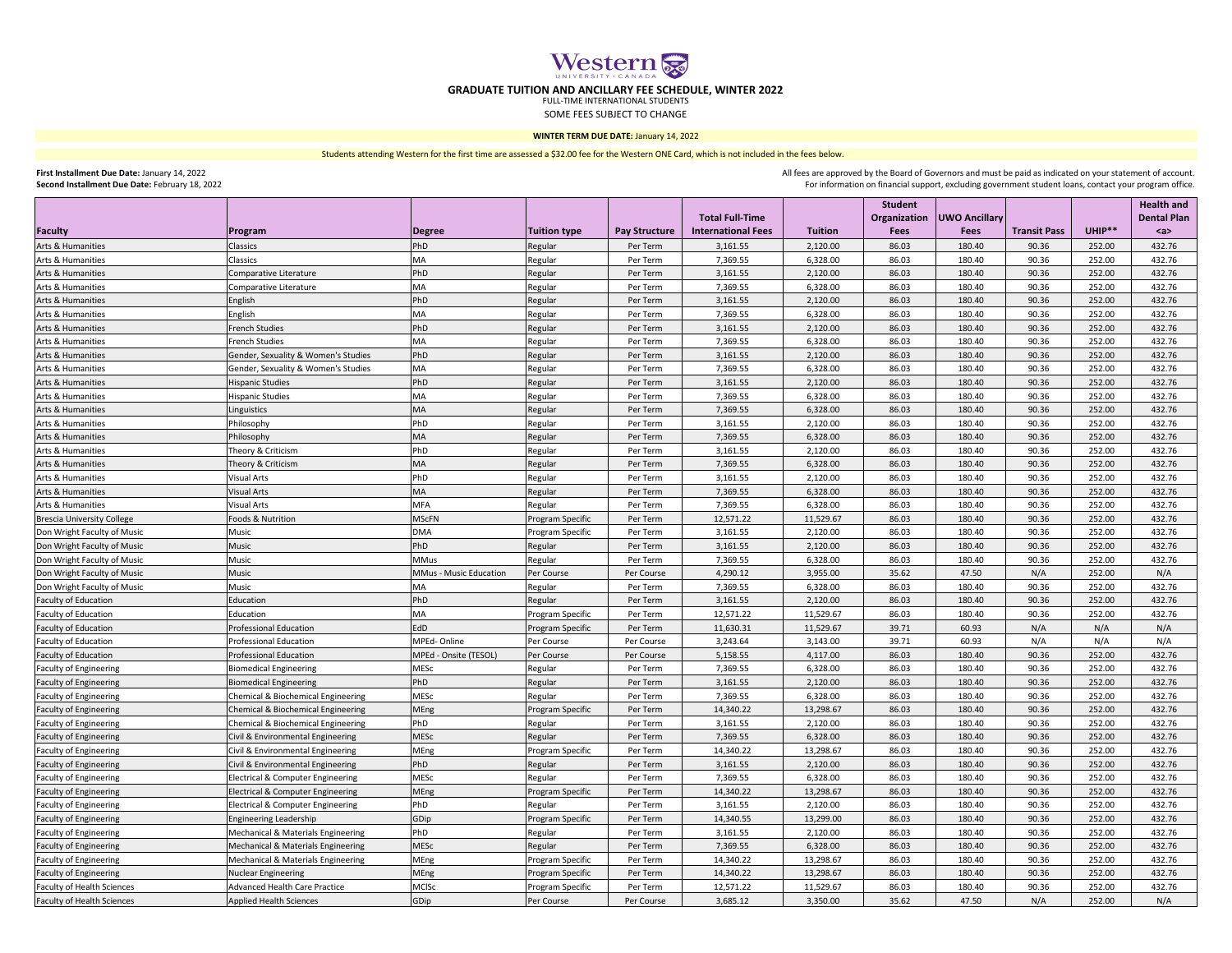|                                                            |                                                              |                               |                                             |                      |                           |                      | Student        |                      |                     |                  | <b>Health and</b>   |
|------------------------------------------------------------|--------------------------------------------------------------|-------------------------------|---------------------------------------------|----------------------|---------------------------|----------------------|----------------|----------------------|---------------------|------------------|---------------------|
|                                                            |                                                              |                               |                                             |                      | <b>Total Full-Time</b>    |                      | Organization   | <b>UWO Ancillary</b> |                     | UHIP**           | <b>Dental Plan</b>  |
| Faculty                                                    | Program                                                      | <b>Degree</b>                 | Tuition type                                | <b>Pay Structure</b> | <b>International Fees</b> | <b>Tuition</b>       | <b>Fees</b>    | <b>Fees</b>          | <b>Transit Pass</b> |                  | $\langle a \rangle$ |
| <b>Arts &amp; Humanities</b>                               | Classics                                                     | PhD<br><b>MA</b>              | Regular                                     | Per Term<br>Per Term | 3,161.55                  | 2,120.00             | 86.03<br>86.03 | 180.40<br>180.40     | 90.36<br>90.36      | 252.00<br>252.00 | 432.76<br>432.76    |
| Arts & Humanities                                          | Classics                                                     | PhD                           | Regular                                     |                      | 7,369.55                  | 6,328.00             |                | 180.40               | 90.36               | 252.00           | 432.76              |
| Arts & Humanities<br>Arts & Humanities                     | Comparative Literature<br>Comparative Literature             | <b>MA</b>                     | Regular                                     | Per Term<br>Per Term | 3,161.55                  | 2,120.00             | 86.03<br>86.03 | 180.40               | 90.36               | 252.00           | 432.76              |
| <b>Arts &amp; Humanities</b>                               |                                                              | PhD                           | Regular                                     | Per Term             | 7,369.55<br>3,161.55      | 6,328.00<br>2,120.00 | 86.03          | 180.40               | 90.36               | 252.00           | 432.76              |
|                                                            | English                                                      | <b>MA</b>                     | Regular                                     |                      |                           |                      |                |                      | 90.36               | 252.00           |                     |
| Arts & Humanities                                          | English<br><b>French Studies</b>                             | PhD                           | Regular                                     | Per Term             | 7,369.55                  | 6,328.00             | 86.03<br>86.03 | 180.40<br>180.40     | 90.36               | 252.00           | 432.76              |
| Arts & Humanities                                          |                                                              | <b>MA</b>                     | Regular                                     | Per Term             | 3,161.55                  | 2,120.00             | 86.03          | 180.40               | 90.36               | 252.00           | 432.76<br>432.76    |
| Arts & Humanities                                          | <b>French Studies</b><br>Gender, Sexuality & Women's Studies | PhD                           | Regular                                     | Per Term<br>Per Term | 7,369.55                  | 6,328.00             | 86.03          | 180.40               | 90.36               | 252.00           | 432.76              |
| Arts & Humanities                                          | Gender, Sexuality & Women's Studies                          | <b>MA</b>                     | Regular                                     | Per Term             | 3,161.55<br>7,369.55      | 2,120.00<br>6,328.00 | 86.03          | 180.40               | 90.36               | 252.00           | 432.76              |
| Arts & Humanities<br>Arts & Humanities                     | <b>Hispanic Studies</b>                                      | PhD                           | Regular                                     | Per Term             | 3,161.55                  | 2,120.00             | 86.03          | 180.40               | 90.36               | 252.00           | 432.76              |
| Arts & Humanities                                          | <b>Hispanic Studies</b>                                      | <b>MA</b>                     | Regular                                     | Per Term             | 7,369.55                  | 6,328.00             | 86.03          | 180.40               | 90.36               | 252.00           | 432.76              |
| Arts & Humanities                                          | Linguistics                                                  | <b>MA</b>                     | Regular                                     | Per Term             | 7,369.55                  | 6,328.00             | 86.03          | 180.40               | 90.36               | 252.00           | 432.76              |
| Arts & Humanities                                          | Philosophy                                                   | PhD                           | Regular                                     | Per Term             | 3,161.55                  | 2,120.00             | 86.03          | 180.40               | 90.36               | 252.00           | 432.76              |
| <b>Arts &amp; Humanities</b>                               | Philosophy                                                   | <b>MA</b>                     | Regular<br>Regular                          | Per Term             | 7,369.55                  | 6,328.00             | 86.03          | 180.40               | 90.36               | 252.00           | 432.76              |
| Arts & Humanities                                          | Theory & Criticism                                           | PhD                           |                                             | Per Term             | 3,161.55                  | 2,120.00             | 86.03          | 180.40               | 90.36               | 252.00           | 432.76              |
| Arts & Humanities                                          | Theory & Criticism                                           | <b>MA</b>                     | Regular                                     | Per Term             | 7,369.55                  | 6,328.00             | 86.03          | 180.40               | 90.36               | 252.00           | 432.76              |
|                                                            | Visual Arts                                                  | PhD                           | Regular                                     | Per Term             |                           |                      | 86.03          | 180.40               | 90.36               | 252.00           | 432.76              |
| Arts & Humanities<br>Arts & Humanities                     | <b>Visual Arts</b>                                           | MA                            | Regular<br>Regular                          | Per Term             | 3,161.55<br>7,369.55      | 2,120.00<br>6,328.00 | 86.03          | 180.40               | 90.36               | 252.00           | 432.76              |
| Arts & Humanities                                          | Visual Arts                                                  | <b>MFA</b>                    | Regular                                     | Per Term             | 7,369.55                  | 6,328.00             | 86.03          | 180.40               | 90.36               | 252.00           | 432.76              |
| <b>Brescia University College</b>                          | Foods & Nutrition                                            | <b>MScFN</b>                  |                                             | Per Term             | 12,571.22                 | 11,529.67            | 86.03          | 180.40               | 90.36               | 252.00           | 432.76              |
|                                                            | Music                                                        | <b>DMA</b>                    | <b>Program Specific</b><br>Program Specific | Per Term             | 3,161.55                  | 2,120.00             | 86.03          | 180.40               | 90.36               | 252.00           | 432.76              |
| Don Wright Faculty of Music<br>Don Wright Faculty of Music | Music                                                        | PhD                           | Regular                                     | Per Term             | 3,161.55                  | 2,120.00             | 86.03          | 180.40               | 90.36               | 252.00           | 432.76              |
| Don Wright Faculty of Music                                | Music                                                        | <b>MMus</b>                   | Regular                                     | Per Term             | 7,369.55                  | 6,328.00             | 86.03          | 180.40               | 90.36               | 252.00           | 432.76              |
| Don Wright Faculty of Music                                | Music                                                        | <b>MMus - Music Education</b> | Per Course                                  | Per Course           | 4,290.12                  | 3,955.00             | 35.62          | 47.50                | N/A                 | 252.00           | N/A                 |
| Don Wright Faculty of Music                                | Music                                                        | <b>MA</b>                     | Regular                                     | Per Term             | 7,369.55                  | 6,328.00             | 86.03          | 180.40               | 90.36               | 252.00           | 432.76              |
| <b>Faculty of Education</b>                                | Education                                                    | PhD                           | Regular                                     | Per Term             | 3,161.55                  | 2,120.00             | 86.03          | 180.40               | 90.36               | 252.00           | 432.76              |
| <b>Faculty of Education</b>                                | Education                                                    | <b>MA</b>                     | <b>Program Specific</b>                     | Per Term             | 12,571.22                 | 11,529.67            | 86.03          | 180.40               | 90.36               | 252.00           | 432.76              |
| <b>Faculty of Education</b>                                | <b>Professional Education</b>                                | EdD                           | <b>Program Specific</b>                     | Per Term             | 11,630.31                 | 11,529.67            | 39.71          | 60.93                | N/A                 | N/A              | N/A                 |
| <b>Faculty of Education</b>                                | <b>Professional Education</b>                                | MPEd-Online                   | Per Course                                  | Per Course           | 3,243.64                  | 3,143.00             | 39.71          | 60.93                | N/A                 | N/A              | N/A                 |
| <b>Faculty of Education</b>                                | <b>Professional Education</b>                                | MPEd - Onsite (TESOL)         | Per Course                                  | Per Course           | 5,158.55                  | 4,117.00             | 86.03          | 180.40               | 90.36               | 252.00           | 432.76              |
| <b>Faculty of Engineering</b>                              | <b>Biomedical Engineering</b>                                | <b>MESC</b>                   | Regular                                     | Per Term             | 7,369.55                  | 6,328.00             | 86.03          | 180.40               | 90.36               | 252.00           | 432.76              |
| <b>Faculty of Engineering</b>                              | <b>Biomedical Engineering</b>                                | PhD                           | Regular                                     | Per Term             | 3,161.55                  | 2,120.00             | 86.03          | 180.40               | 90.36               | 252.00           | 432.76              |
| <b>Faculty of Engineering</b>                              | Chemical & Biochemical Engineering                           | <b>MESC</b>                   | Regular                                     | Per Term             | 7,369.55                  | 6,328.00             | 86.03          | 180.40               | 90.36               | 252.00           | 432.76              |
| <b>Faculty of Engineering</b>                              | <b>Chemical &amp; Biochemical Engineering</b>                | MEng                          | <b>Program Specific</b>                     | Per Term             | 14,340.22                 | 13,298.67            | 86.03          | 180.40               | 90.36               | 252.00           | 432.76              |
| <b>Faculty of Engineering</b>                              | <b>Chemical &amp; Biochemical Engineering</b>                | PhD                           | Regular                                     | Per Term             | 3,161.55                  | 2,120.00             | 86.03          | 180.40               | 90.36               | 252.00           | 432.76              |
| <b>Faculty of Engineering</b>                              | Civil & Environmental Engineering                            | <b>MESC</b>                   | Regular                                     | Per Term             | 7,369.55                  | 6,328.00             | 86.03          | 180.40               | 90.36               | 252.00           | 432.76              |
| <b>Faculty of Engineering</b>                              | Civil & Environmental Engineering                            | MEng                          | Program Specific                            | Per Term             | 14,340.22                 | 13,298.67            | 86.03          | 180.40               | 90.36               | 252.00           | 432.76              |
| <b>Faculty of Engineering</b>                              | Civil & Environmental Engineering                            | PhD                           | Regular                                     | Per Term             | 3,161.55                  | 2,120.00             | 86.03          | 180.40               | 90.36               | 252.00           | 432.76              |
| <b>Faculty of Engineering</b>                              | <b>Electrical &amp; Computer Engineering</b>                 | <b>MESC</b>                   | Regular                                     | Per Term             | 7,369.55                  | 6,328.00             | 86.03          | 180.40               | 90.36               | 252.00           | 432.76              |
| Faculty of Engineering                                     | <b>Electrical &amp; Computer Engineering</b>                 | MEng                          | <b>Program Specific</b>                     | Per Term             | 14,340.22                 | 13,298.67            | 86.03          | 180.40               | 90.36               | 252.00           | 432.76              |
| <b>Faculty of Engineering</b>                              | <b>Electrical &amp; Computer Engineering</b>                 | PhD                           | Regular                                     | Per Term             | 3,161.55                  | 2,120.00             | 86.03          | 180.40               | 90.36               | 252.00           | 432.76              |
| <b>Faculty of Engineering</b>                              | <b>Engineering Leadership</b>                                | GDip                          | Program Specific                            | Per Term             | 14,340.55                 | 13,299.00            | 86.03          | 180.40               | 90.36               | 252.00           | 432.76              |
| <b>Faculty of Engineering</b>                              | Mechanical & Materials Engineering                           | PhD                           | Regular                                     | Per Term             | 3,161.55                  | 2,120.00             | 86.03          | 180.40               | 90.36               | 252.00           | 432.76              |
| <b>Faculty of Engineering</b>                              | Mechanical & Materials Engineering                           | <b>MESC</b>                   | Regular                                     | Per Term             | 7,369.55                  | 6,328.00             | 86.03          | 180.40               | 90.36               | 252.00           | 432.76              |
| <b>Faculty of Engineering</b>                              | Mechanical & Materials Engineering                           | MEng                          | <b>Program Specific</b>                     | Per Term             | 14,340.22                 | 13,298.67            | 86.03          | 180.40               | 90.36               | 252.00           | 432.76              |
| <b>Faculty of Engineering</b>                              | <b>Nuclear Engineering</b>                                   | MEng                          | Program Specific                            | Per Term             | 14,340.22                 | 13,298.67            | 86.03          | 180.40               | 90.36               | 252.00           | 432.76              |
| <b>Faculty of Health Sciences</b>                          | <b>Advanced Health Care Practice</b>                         | <b>MCISc</b>                  | Program Specific                            | Per Term             | 12,571.22                 | 11,529.67            | 86.03          | 180.40               | 90.36               | 252.00           | 432.76              |
| <b>Faculty of Health Sciences</b>                          | Applied Health Sciences                                      | GDip                          | Per Course                                  | Per Course           | 3,685.12                  | 3,350.00             | 35.62          | 47.50                | N/A                 | 252.00           | N/A                 |



## **GRADUATE TUITION AND ANCILLARY FEE SCHEDULE, WINTER 2022**

FULL-TIME INTERNATIONAL STUDENTS SOME FEES SUBJECT TO CHANGE

> For information on financial support, excluding government student loans, contact your program office. All fees are approved by the Board of Governors and must be paid as indicated on your statement of account.

**WINTER TERM DUE DATE:** January 14, 2022

**First Installment Due Date:** January 14, 2022 **Second Installment Due Date:** February 18, 2022 Students attending Western for the first time are assessed a \$32.00 fee for the Western ONE Card, which is not included in the fees below.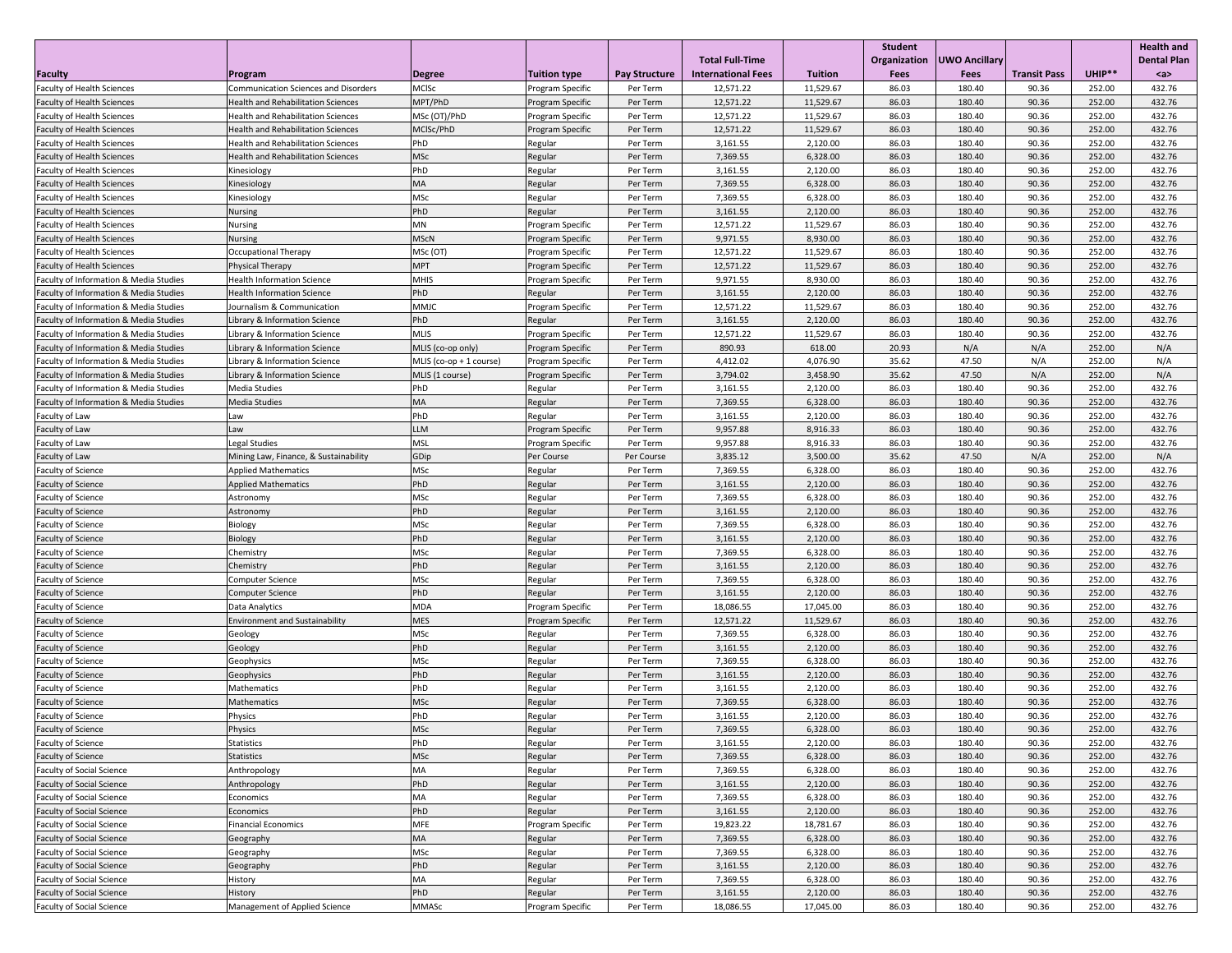|                                                                                                        |                                                                                          |                           |                                             |                      |                           |                        | <b>Student</b> |                  |                     |                  | <b>Health and</b>  |
|--------------------------------------------------------------------------------------------------------|------------------------------------------------------------------------------------------|---------------------------|---------------------------------------------|----------------------|---------------------------|------------------------|----------------|------------------|---------------------|------------------|--------------------|
|                                                                                                        |                                                                                          |                           |                                             |                      | <b>Total Full-Time</b>    |                        | Organization   | UWO Ancillary    |                     |                  | <b>Dental Plan</b> |
| Faculty                                                                                                | <b>Program</b>                                                                           | <b>Degree</b>             | Tuition type                                | <b>Pay Structure</b> | <b>International Fees</b> | <b>Tuition</b>         | <b>Fees</b>    | <b>Fees</b>      | <b>Transit Pass</b> | UHIP**           | $a$                |
| <b>Faculty of Health Sciences</b><br><b>Faculty of Health Sciences</b>                                 | <b>Communication Sciences and Disorders</b><br><b>Health and Rehabilitation Sciences</b> | <b>MCISc</b><br>MPT/PhD   | Program Specific                            | Per Term<br>Per Term | 12,571.22<br>12,571.22    | 11,529.67<br>11,529.67 | 86.03<br>86.03 | 180.40<br>180.40 | 90.36<br>90.36      | 252.00<br>252.00 | 432.76<br>432.76   |
| <b>Faculty of Health Sciences</b>                                                                      | <b>Health and Rehabilitation Sciences</b>                                                | MSc (OT)/PhD              | <b>Program Specific</b><br>Program Specific | Per Term             | 12,571.22                 | 11,529.67              | 86.03          | 180.40           | 90.36               | 252.00           | 432.76             |
| <b>Faculty of Health Sciences</b>                                                                      | <b>Health and Rehabilitation Sciences</b>                                                | MCISc/PhD                 | <b>Program Specific</b>                     | Per Term             | 12,571.22                 | 11,529.67              | 86.03          | 180.40           | 90.36               | 252.00           | 432.76             |
| <b>Faculty of Health Sciences</b>                                                                      | <b>Health and Rehabilitation Sciences</b>                                                | PhD                       | Regular                                     | Per Term             | 3,161.55                  | 2,120.00               | 86.03          | 180.40           | 90.36               | 252.00           | 432.76             |
| <b>Faculty of Health Sciences</b>                                                                      | <b>Health and Rehabilitation Sciences</b>                                                | <b>MSc</b>                | Regular                                     | Per Term             | 7,369.55                  | 6,328.00               | 86.03          | 180.40           | 90.36               | 252.00           | 432.76             |
| <b>Faculty of Health Sciences</b>                                                                      | Kinesiology                                                                              | PhD                       | Regular                                     | Per Term             | 3,161.55                  | 2,120.00               | 86.03          | 180.40           | 90.36               | 252.00           | 432.76             |
| <b>Faculty of Health Sciences</b>                                                                      | Kinesiology                                                                              | MA                        | Regular                                     | Per Term             | 7,369.55                  | 6,328.00               | 86.03          | 180.40           | 90.36               | 252.00           | 432.76             |
| <b>Faculty of Health Sciences</b>                                                                      | Kinesiology                                                                              | <b>MSc</b>                | Regular                                     | Per Term             | 7,369.55                  | 6,328.00               | 86.03          | 180.40           | 90.36               | 252.00           | 432.76             |
| <b>Faculty of Health Sciences</b>                                                                      | <b>Nursing</b>                                                                           | PhD                       | Regular                                     | Per Term             | 3,161.55                  | 2,120.00               | 86.03          | 180.40           | 90.36               | 252.00           | 432.76             |
| <b>Faculty of Health Sciences</b>                                                                      | <b>Nursing</b>                                                                           | <b>MN</b>                 | Program Specific                            | Per Term             | 12,571.22                 | 11,529.67              | 86.03          | 180.40           | 90.36               | 252.00           | 432.76             |
| <b>Faculty of Health Sciences</b>                                                                      | <b>Nursing</b>                                                                           | <b>MScN</b>               | <b>Program Specific</b>                     | Per Term             | 9,971.55                  | 8,930.00               | 86.03          | 180.40           | 90.36               | 252.00           | 432.76             |
| <b>Faculty of Health Sciences</b>                                                                      | <b>Occupational Therapy</b>                                                              | MSc (OT)                  | Program Specific                            | Per Term             | 12,571.22                 | 11,529.67              | 86.03          | 180.40           | 90.36               | 252.00           | 432.76             |
| <b>Faculty of Health Sciences</b>                                                                      | Physical Therapy                                                                         | <b>MPT</b>                | <b>Program Specific</b>                     | Per Term             | 12,571.22                 | 11,529.67              | 86.03          | 180.40           | 90.36               | 252.00           | 432.76             |
| <b>Faculty of Information &amp; Media Studies</b>                                                      | <b>Health Information Science</b>                                                        | <b>MHIS</b>               | Program Specific                            | Per Term             | 9,971.55                  | 8,930.00               | 86.03          | 180.40           | 90.36               | 252.00           | 432.76             |
| <b>Faculty of Information &amp; Media Studies</b>                                                      | <b>Health Information Science</b>                                                        | PhD                       | Regular                                     | Per Term             | 3,161.55                  | 2,120.00               | 86.03          | 180.40           | 90.36               | 252.00           | 432.76             |
| <b>Faculty of Information &amp; Media Studies</b>                                                      | Journalism & Communication                                                               | <b>MMJC</b>               | Program Specific                            | Per Term             | 12,571.22                 | 11,529.67              | 86.03          | 180.40           | 90.36               | 252.00           | 432.76             |
| <b>Faculty of Information &amp; Media Studies</b>                                                      | Library & Information Science                                                            | PhD                       | Regular                                     | Per Term             | 3,161.55                  | 2,120.00               | 86.03          | 180.40           | 90.36               | 252.00           | 432.76             |
| <b>Faculty of Information &amp; Media Studies</b>                                                      | Library & Information Science                                                            | <b>MLIS</b>               | Program Specific                            | Per Term             | 12,571.22                 | 11,529.67              | 86.03          | 180.40           | 90.36               | 252.00           | 432.76             |
| <b>Faculty of Information &amp; Media Studies</b>                                                      | Library & Information Science                                                            | MLIS (co-op only)         | <b>Program Specific</b>                     | Per Term             | 890.93                    | 618.00                 | 20.93          | N/A              | N/A                 | 252.00           | N/A                |
| <b>Faculty of Information &amp; Media Studies</b>                                                      | Library & Information Science                                                            | MLIS $(co-op + 1 course)$ | <b>Program Specific</b>                     | Per Term             | 4,412.02                  | 4,076.90               | 35.62          | 47.50            | N/A                 | 252.00           | N/A                |
| <b>Faculty of Information &amp; Media Studies</b>                                                      | Library & Information Science                                                            | MLIS (1 course)           | <b>Program Specific</b>                     | Per Term             | 3,794.02                  | 3,458.90               | 35.62          | 47.50            | N/A                 | 252.00           | N/A                |
| <b>Faculty of Information &amp; Media Studies</b><br><b>Faculty of Information &amp; Media Studies</b> | Media Studies<br>Media Studies                                                           | PhD<br>MA                 | Regular                                     | Per Term<br>Per Term | 3,161.55<br>7,369.55      | 2,120.00<br>6,328.00   | 86.03<br>86.03 | 180.40<br>180.40 | 90.36<br>90.36      | 252.00<br>252.00 | 432.76<br>432.76   |
| <b>Faculty of Law</b>                                                                                  | Law                                                                                      | PhD                       | Regular<br>Regular                          | Per Term             | 3,161.55                  | 2,120.00               | 86.03          | 180.40           | 90.36               | 252.00           | 432.76             |
| Faculty of Law                                                                                         | Law                                                                                      | <b>LLM</b>                | <b>Program Specific</b>                     | Per Term             | 9,957.88                  | 8,916.33               | 86.03          | 180.40           | 90.36               | 252.00           | 432.76             |
| <b>Faculty of Law</b>                                                                                  | Legal Studies                                                                            | <b>MSL</b>                | Program Specific                            | Per Term             | 9,957.88                  | 8,916.33               | 86.03          | 180.40           | 90.36               | 252.00           | 432.76             |
| Faculty of Law                                                                                         | Mining Law, Finance, & Sustainability                                                    | GDip                      | Per Course                                  | Per Course           | 3,835.12                  | 3,500.00               | 35.62          | 47.50            | N/A                 | 252.00           | N/A                |
| <b>Faculty of Science</b>                                                                              | <b>Applied Mathematics</b>                                                               | <b>MSc</b>                | Regular                                     | Per Term             | 7,369.55                  | 6,328.00               | 86.03          | 180.40           | 90.36               | 252.00           | 432.76             |
| <b>Faculty of Science</b>                                                                              | <b>Applied Mathematics</b>                                                               | PhD                       | Regular                                     | Per Term             | 3,161.55                  | 2,120.00               | 86.03          | 180.40           | 90.36               | 252.00           | 432.76             |
| <b>Faculty of Science</b>                                                                              | Astronomy                                                                                | <b>MSc</b>                | Regular                                     | Per Term             | 7,369.55                  | 6,328.00               | 86.03          | 180.40           | 90.36               | 252.00           | 432.76             |
| <b>Faculty of Science</b>                                                                              | Astronomy                                                                                | PhD                       | Regular                                     | Per Term             | 3,161.55                  | 2,120.00               | 86.03          | 180.40           | 90.36               | 252.00           | 432.76             |
| <b>Faculty of Science</b>                                                                              | Biology                                                                                  | <b>MSc</b>                | Regular                                     | Per Term             | 7,369.55                  | 6,328.00               | 86.03          | 180.40           | 90.36               | 252.00           | 432.76             |
| <b>Faculty of Science</b>                                                                              | Biology                                                                                  | PhD                       | Regular                                     | Per Term             | 3,161.55                  | 2,120.00               | 86.03          | 180.40           | 90.36               | 252.00           | 432.76             |
| <b>Faculty of Science</b>                                                                              | Chemistry                                                                                | <b>MSc</b>                | Regular                                     | Per Term             | 7,369.55                  | 6,328.00               | 86.03          | 180.40           | 90.36               | 252.00           | 432.76             |
| <b>Faculty of Science</b>                                                                              | Chemistry                                                                                | PhD                       | Regular                                     | Per Term             | 3,161.55                  | 2,120.00               | 86.03          | 180.40           | 90.36               | 252.00           | 432.76             |
| <b>Faculty of Science</b>                                                                              | Computer Science                                                                         | <b>MSc</b>                | Regular                                     | Per Term             | 7,369.55                  | 6,328.00               | 86.03          | 180.40           | 90.36               | 252.00           | 432.76             |
| <b>Faculty of Science</b>                                                                              | <b>Computer Science</b>                                                                  | PhD                       | Regular                                     | Per Term             | 3,161.55                  | 2,120.00               | 86.03          | 180.40           | 90.36               | 252.00           | 432.76             |
| <b>Faculty of Science</b>                                                                              | Data Analytics                                                                           | <b>MDA</b>                | Program Specific                            | Per Term             | 18,086.55                 | 17,045.00              | 86.03          | 180.40           | 90.36               | 252.00           | 432.76             |
| <b>Faculty of Science</b>                                                                              | <b>Environment and Sustainability</b>                                                    | <b>MES</b>                | <b>Program Specific</b>                     | Per Term             | 12,571.22                 | 11,529.67              | 86.03          | 180.40           | 90.36               | 252.00           | 432.76             |
| <b>Faculty of Science</b>                                                                              | Geology                                                                                  | <b>MSc</b>                | Regular                                     | Per Term             | 7,369.55                  | 6,328.00               | 86.03          | 180.40           | 90.36               | 252.00           | 432.76             |
| <b>Faculty of Science</b>                                                                              | Geology                                                                                  | PhD                       | Regular                                     | Per Term             | 3,161.55                  | 2,120.00               | 86.03          | 180.40           | 90.36               | 252.00           | 432.76             |
| <b>Faculty of Science</b>                                                                              | Geophysics                                                                               | <b>MSc</b><br>PhD         | Regular                                     | Per Term             | 7,369.55                  | 6,328.00               | 86.03<br>86.03 | 180.40           | 90.36<br>90.36      | 252.00           | 432.76             |
| <b>Faculty of Science</b><br><b>Faculty of Science</b>                                                 | Geophysics<br>Mathematics                                                                | PhD                       | Regular<br>Regular                          | Per Term<br>Per Term | 3,161.55<br>3,161.55      | 2,120.00<br>2,120.00   | 86.03          | 180.40<br>180.40 | 90.36               | 252.00<br>252.00 | 432.76<br>432.76   |
| <b>Faculty of Science</b>                                                                              | Mathematics                                                                              | <b>MSc</b>                | Regular                                     | Per Term             | 7,369.55                  | 6,328.00               | 86.03          | 180.40           | 90.36               | 252.00           | 432.76             |
| <b>Faculty of Science</b>                                                                              | Physics                                                                                  | PhD                       | Regular                                     | Per Term             | 3,161.55                  | 2,120.00               | 86.03          | 180.40           | 90.36               | 252.00           | 432.76             |
| <b>Faculty of Science</b>                                                                              | Physics                                                                                  | <b>MSc</b>                | Regular                                     | Per Term             | 7,369.55                  | 6,328.00               | 86.03          | 180.40           | 90.36               | 252.00           | 432.76             |
| <b>Faculty of Science</b>                                                                              | Statistics                                                                               | PhD                       | Regular                                     | Per Term             | 3,161.55                  | 2,120.00               | 86.03          | 180.40           | 90.36               | 252.00           | 432.76             |
| <b>Faculty of Science</b>                                                                              | Statistics                                                                               | <b>MSc</b>                | Regular                                     | Per Term             | 7,369.55                  | 6,328.00               | 86.03          | 180.40           | 90.36               | 252.00           | 432.76             |
| <b>Faculty of Social Science</b>                                                                       | Anthropology                                                                             | МA                        | Regular                                     | Per Term             | 7,369.55                  | 6,328.00               | 86.03          | 180.40           | 90.36               | 252.00           | 432.76             |
| <b>Faculty of Social Science</b>                                                                       | Anthropology                                                                             | PhD                       | Regular                                     | Per Term             | 3,161.55                  | 2,120.00               | 86.03          | 180.40           | 90.36               | 252.00           | 432.76             |
| <b>Faculty of Social Science</b>                                                                       | Economics                                                                                | МA                        | Regular                                     | Per Term             | 7,369.55                  | 6,328.00               | 86.03          | 180.40           | 90.36               | 252.00           | 432.76             |
| <b>Faculty of Social Science</b>                                                                       | Economics                                                                                | PhD                       | Regular                                     | Per Term             | 3,161.55                  | 2,120.00               | 86.03          | 180.40           | 90.36               | 252.00           | 432.76             |
| <b>Faculty of Social Science</b>                                                                       | <b>Financial Economics</b>                                                               | <b>MFE</b>                | <b>Program Specific</b>                     | Per Term             | 19,823.22                 | 18,781.67              | 86.03          | 180.40           | 90.36               | 252.00           | 432.76             |
| <b>Faculty of Social Science</b>                                                                       | Geography                                                                                | <b>MA</b>                 | Regular                                     | Per Term             | 7,369.55                  | 6,328.00               | 86.03          | 180.40           | 90.36               | 252.00           | 432.76             |
| <b>Faculty of Social Science</b>                                                                       | Geography                                                                                | <b>MSc</b>                | Regular                                     | Per Term             | 7,369.55                  | 6,328.00               | 86.03          | 180.40           | 90.36               | 252.00           | 432.76             |
| <b>Faculty of Social Science</b>                                                                       | Geography                                                                                | PhD                       | Regular                                     | Per Term             | 3,161.55                  | 2,120.00               | 86.03          | 180.40           | 90.36               | 252.00           | 432.76             |
| <b>Faculty of Social Science</b>                                                                       | History                                                                                  | <b>MA</b>                 | Regular                                     | Per Term             | 7,369.55                  | 6,328.00               | 86.03          | 180.40           | 90.36               | 252.00           | 432.76             |
| <b>Faculty of Social Science</b>                                                                       | History                                                                                  | PhD                       | Regular                                     | Per Term             | 3,161.55                  | 2,120.00               | 86.03          | 180.40           | 90.36               | 252.00           | 432.76             |
| <b>Faculty of Social Science</b>                                                                       | Management of Applied Science                                                            | <b>MMASc</b>              | Program Specific                            | Per Term             | 18,086.55                 | 17,045.00              | 86.03          | 180.40           | 90.36               | 252.00           | 432.76             |